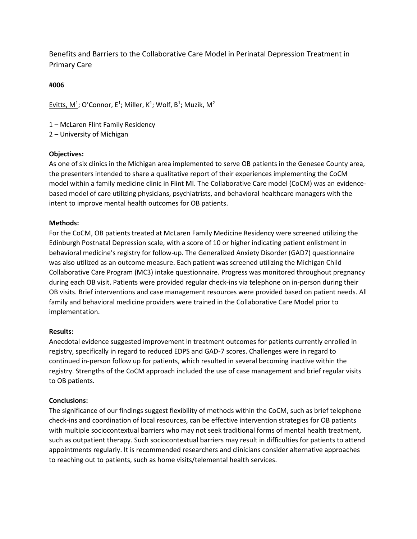Benefits and Barriers to the Collaborative Care Model in Perinatal Depression Treatment in Primary Care

# **#006**

<u>Evitts, M<sup>1</sup></u>; O'Connor, E<sup>1</sup>; Miller, K<sup>1</sup>; Wolf, B<sup>1</sup>; Muzik, M<sup>2</sup>

1 – McLaren Flint Family Residency

2 – University of Michigan

# **Objectives:**

As one of six clinics in the Michigan area implemented to serve OB patients in the Genesee County area, the presenters intended to share a qualitative report of their experiences implementing the CoCM model within a family medicine clinic in Flint MI. The Collaborative Care model (CoCM) was an evidence based model of care utilizing physicians, psychiatrists, and behavioral healthcare managers with the intent to improve mental health outcomes for OB patients.

# **Methods:**

For the CoCM, OB patients treated at McLaren Family Medicine Residency were screened utilizing the Edinburgh Postnatal Depression scale, with a score of 10 or higher indicating patient enlistment in behavioral medicine's registry for follow-up. The Generalized Anxiety Disorder (GAD7) questionnaire was also utilized as an outcome measure. Each patient was screened utilizing the Michigan Child Collaborative Care Program (MC3) intake questionnaire. Progress was monitored throughout pregnancy during each OB visit. Patients were provided regular check-ins via telephone on in-person during their OB visits. Brief interventions and case management resources were provided based on patient needs. All family and behavioral medicine providers were trained in the Collaborative Care Model prior to implementation.

#### **Results:**

Anecdotal evidence suggested improvement in treatment outcomes for patients currently enrolled in registry, specifically in regard to reduced EDPS and GAD-7 scores. Challenges were in regard to continued in-person follow up for patients, which resulted in several becoming inactive within the registry. Strengths of the CoCM approach included the use of case management and brief regular visits to OB patients.

# **Conclusions:**

The significance of our findings suggest flexibility of methods within the CoCM, such as brief telephone check-ins and coordination of local resources, can be effective intervention strategies for OB patients with multiple sociocontextual barriers who may not seek traditional forms of mental health treatment, such as outpatient therapy. Such sociocontextual barriers may result in difficulties for patients to attend appointments regularly. It is recommended researchers and clinicians consider alternative approaches to reaching out to patients, such as home visits/telemental health services.